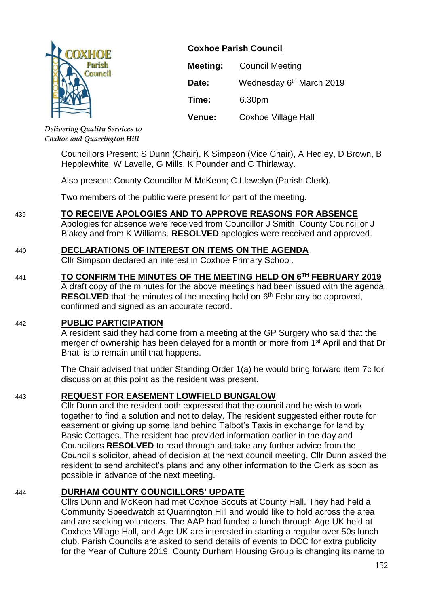

**Coxhoe Parish Council**

| <b>Meeting:</b> | <b>Council Meeting</b>               |
|-----------------|--------------------------------------|
| Date:           | Wednesday 6 <sup>th</sup> March 2019 |
| Time:           | 6.30pm                               |
| Venue:          | <b>Coxhoe Village Hall</b>           |

*Delivering Quality Services to Coxhoe and Quarrington Hill*

> Councillors Present: S Dunn (Chair), K Simpson (Vice Chair), A Hedley, D Brown, B Hepplewhite, W Lavelle, G Mills, K Pounder and C Thirlaway.

Also present: County Councillor M McKeon; C Llewelyn (Parish Clerk).

Two members of the public were present for part of the meeting.

#### 439 **TO RECEIVE APOLOGIES AND TO APPROVE REASONS FOR ABSENCE**

Apologies for absence were received from Councillor J Smith, County Councillor J Blakey and from K Williams. **RESOLVED** apologies were received and approved.

## 440 **DECLARATIONS OF INTEREST ON ITEMS ON THE AGENDA**

Cllr Simpson declared an interest in Coxhoe Primary School.

#### 441 **TO CONFIRM THE MINUTES OF THE MEETING HELD ON 6 TH FEBRUARY 2019**

A draft copy of the minutes for the above meetings had been issued with the agenda. **RESOLVED** that the minutes of the meeting held on 6<sup>th</sup> February be approved, confirmed and signed as an accurate record.

#### 442 **PUBLIC PARTICIPATION**

A resident said they had come from a meeting at the GP Surgery who said that the merger of ownership has been delayed for a month or more from 1<sup>st</sup> April and that Dr Bhati is to remain until that happens.

The Chair advised that under Standing Order 1(a) he would bring forward item 7c for discussion at this point as the resident was present.

#### 443 **REQUEST FOR EASEMENT LOWFIELD BUNGALOW**

Cllr Dunn and the resident both expressed that the council and he wish to work together to find a solution and not to delay. The resident suggested either route for easement or giving up some land behind Talbot's Taxis in exchange for land by Basic Cottages. The resident had provided information earlier in the day and Councillors **RESOLVED** to read through and take any further advice from the Council's solicitor, ahead of decision at the next council meeting. Cllr Dunn asked the resident to send architect's plans and any other information to the Clerk as soon as possible in advance of the next meeting.

#### 444 **DURHAM COUNTY COUNCILLORS' UPDATE**

Cllrs Dunn and McKeon had met Coxhoe Scouts at County Hall. They had held a Community Speedwatch at Quarrington Hill and would like to hold across the area and are seeking volunteers. The AAP had funded a lunch through Age UK held at Coxhoe Village Hall, and Age UK are interested in starting a regular over 50s lunch club. Parish Councils are asked to send details of events to DCC for extra publicity for the Year of Culture 2019. County Durham Housing Group is changing its name to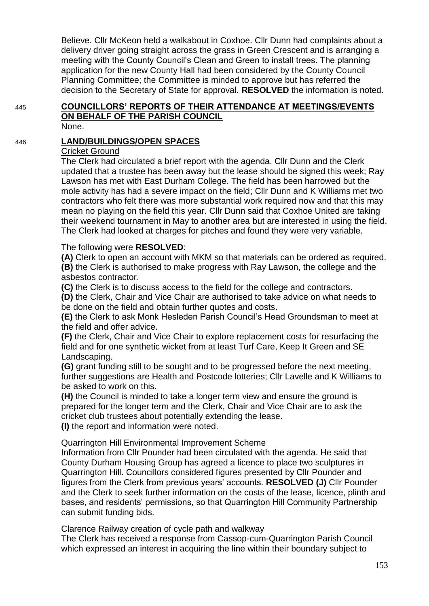Believe. Cllr McKeon held a walkabout in Coxhoe. Cllr Dunn had complaints about a delivery driver going straight across the grass in Green Crescent and is arranging a meeting with the County Council's Clean and Green to install trees. The planning application for the new County Hall had been considered by the County Council Planning Committee; the Committee is minded to approve but has referred the decision to the Secretary of State for approval. **RESOLVED** the information is noted.

#### 445 **COUNCILLORS' REPORTS OF THEIR ATTENDANCE AT MEETINGS/EVENTS ON BEHALF OF THE PARISH COUNCIL** None.

# 446 **LAND/BUILDINGS/OPEN SPACES**

# Cricket Ground

The Clerk had circulated a brief report with the agenda. Cllr Dunn and the Clerk updated that a trustee has been away but the lease should be signed this week; Ray Lawson has met with East Durham College. The field has been harrowed but the mole activity has had a severe impact on the field; Cllr Dunn and K Williams met two contractors who felt there was more substantial work required now and that this may mean no playing on the field this year. Cllr Dunn said that Coxhoe United are taking their weekend tournament in May to another area but are interested in using the field. The Clerk had looked at charges for pitches and found they were very variable.

The following were **RESOLVED**:

**(A)** Clerk to open an account with MKM so that materials can be ordered as required. **(B)** the Clerk is authorised to make progress with Ray Lawson, the college and the asbestos contractor.

**(C)** the Clerk is to discuss access to the field for the college and contractors.

**(D)** the Clerk, Chair and Vice Chair are authorised to take advice on what needs to be done on the field and obtain further quotes and costs.

**(E)** the Clerk to ask Monk Hesleden Parish Council's Head Groundsman to meet at the field and offer advice.

**(F)** the Clerk, Chair and Vice Chair to explore replacement costs for resurfacing the field and for one synthetic wicket from at least Turf Care, Keep It Green and SE Landscaping.

**(G)** grant funding still to be sought and to be progressed before the next meeting, further suggestions are Health and Postcode lotteries; Cllr Lavelle and K Williams to be asked to work on this.

**(H)** the Council is minded to take a longer term view and ensure the ground is prepared for the longer term and the Clerk, Chair and Vice Chair are to ask the cricket club trustees about potentially extending the lease.

**(I)** the report and information were noted.

# Quarrington Hill Environmental Improvement Scheme

Information from Cllr Pounder had been circulated with the agenda. He said that County Durham Housing Group has agreed a licence to place two sculptures in Quarrington Hill. Councillors considered figures presented by Cllr Pounder and figures from the Clerk from previous years' accounts. **RESOLVED (J)** Cllr Pounder and the Clerk to seek further information on the costs of the lease, licence, plinth and bases, and residents' permissions, so that Quarrington Hill Community Partnership can submit funding bids.

Clarence Railway creation of cycle path and walkway

The Clerk has received a response from Cassop-cum-Quarrington Parish Council which expressed an interest in acquiring the line within their boundary subject to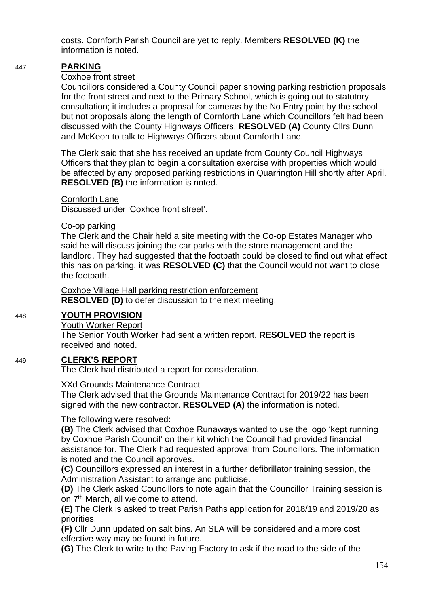costs. Cornforth Parish Council are yet to reply. Members **RESOLVED (K)** the information is noted.

#### 447 **PARKING**

#### Coxhoe front street

Councillors considered a County Council paper showing parking restriction proposals for the front street and next to the Primary School, which is going out to statutory consultation; it includes a proposal for cameras by the No Entry point by the school but not proposals along the length of Cornforth Lane which Councillors felt had been discussed with the County Highways Officers. **RESOLVED (A)** County Cllrs Dunn and McKeon to talk to Highways Officers about Cornforth Lane.

The Clerk said that she has received an update from County Council Highways Officers that they plan to begin a consultation exercise with properties which would be affected by any proposed parking restrictions in Quarrington Hill shortly after April. **RESOLVED (B)** the information is noted.

#### Cornforth Lane

Discussed under 'Coxhoe front street'.

#### Co-op parking

The Clerk and the Chair held a site meeting with the Co-op Estates Manager who said he will discuss joining the car parks with the store management and the landlord. They had suggested that the footpath could be closed to find out what effect this has on parking, it was **RESOLVED (C)** that the Council would not want to close the footpath.

Coxhoe Village Hall parking restriction enforcement **RESOLVED (D)** to defer discussion to the next meeting.

# 448 **YOUTH PROVISION**

Youth Worker Report

The Senior Youth Worker had sent a written report. **RESOLVED** the report is received and noted.

#### 449 **CLERK'S REPORT**

The Clerk had distributed a report for consideration.

#### XXd Grounds Maintenance Contract

The Clerk advised that the Grounds Maintenance Contract for 2019/22 has been signed with the new contractor. **RESOLVED (A)** the information is noted.

The following were resolved:

**(B)** The Clerk advised that Coxhoe Runaways wanted to use the logo 'kept running by Coxhoe Parish Council' on their kit which the Council had provided financial assistance for. The Clerk had requested approval from Councillors. The information is noted and the Council approves.

**(C)** Councillors expressed an interest in a further defibrillator training session, the Administration Assistant to arrange and publicise.

**(D)** The Clerk asked Councillors to note again that the Councillor Training session is on 7<sup>th</sup> March, all welcome to attend.

**(E)** The Clerk is asked to treat Parish Paths application for 2018/19 and 2019/20 as priorities.

**(F)** Cllr Dunn updated on salt bins. An SLA will be considered and a more cost effective way may be found in future.

**(G)** The Clerk to write to the Paving Factory to ask if the road to the side of the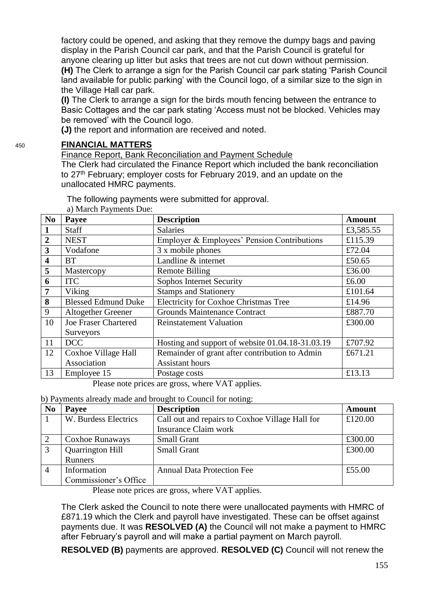factory could be opened, and asking that they remove the dumpy bags and paving display in the Parish Council car park, and that the Parish Council is grateful for anyone clearing up litter but asks that trees are not cut down without permission. **(H)** The Clerk to arrange a sign for the Parish Council car park stating 'Parish Council land available for public parking' with the Council logo, of a similar size to the sign in the Village Hall car park.

**(I)** The Clerk to arrange a sign for the birds mouth fencing between the entrance to Basic Cottages and the car park stating 'Access must not be blocked. Vehicles may be removed' with the Council logo.

**(J)** the report and information are received and noted.

#### <sup>450</sup> **FINANCIAL MATTERS**

Finance Report, Bank Reconciliation and Payment Schedule

The Clerk had circulated the Finance Report which included the bank reconciliation to 27<sup>th</sup> February; employer costs for February 2019, and an update on the unallocated HMRC payments.

The following payments were submitted for approval. a) March Payments Due:

| N <sub>o</sub>          | Payee                       | <b>Description</b>                               | <b>Amount</b> |
|-------------------------|-----------------------------|--------------------------------------------------|---------------|
| $\mathbf{1}$            | Staff                       | <b>Salaries</b>                                  | £3,585.55     |
| $\overline{2}$          | <b>NEST</b>                 | Employer & Employees' Pension Contributions      | £115.39       |
| $\overline{\mathbf{3}}$ | Vodafone                    | 3 x mobile phones                                | £72.04        |
| $\overline{\mathbf{4}}$ | <b>BT</b>                   | Landline & internet                              | £50.65        |
| 5                       | Mastercopy                  | <b>Remote Billing</b>                            | £36.00        |
| 6                       | <b>ITC</b>                  | Sophos Internet Security                         | £6.00         |
| 7                       | Viking                      | <b>Stamps and Stationery</b>                     | £101.64       |
| 8                       | <b>Blessed Edmund Duke</b>  | <b>Electricity for Coxhoe Christmas Tree</b>     | £14.96        |
| 9                       | <b>Altogether Greener</b>   | <b>Grounds Maintenance Contract</b>              | £887.70       |
| 10                      | <b>Joe Fraser Chartered</b> | <b>Reinstatement Valuation</b>                   | £300.00       |
|                         | Surveyors                   |                                                  |               |
| 11                      | <b>DCC</b>                  | Hosting and support of website 01.04.18-31.03.19 | £707.92       |
| 12                      | Coxhoe Village Hall         | Remainder of grant after contribution to Admin   | £671.21       |
|                         | Association                 | <b>Assistant hours</b>                           |               |
| 13                      | Employee 15                 | Postage costs                                    | £13.13        |

Please note prices are gross, where VAT applies.

#### b) Payments already made and brought to Council for noting:

| N <sub>o</sub> | Payee                   | <b>Description</b>                              | <b>Amount</b> |
|----------------|-------------------------|-------------------------------------------------|---------------|
|                | W. Burdess Electrics    | Call out and repairs to Coxhoe Village Hall for | £120.00       |
|                |                         | Insurance Claim work                            |               |
|                | <b>Coxhoe Runaways</b>  | <b>Small Grant</b>                              | £300.00       |
|                | <b>Quarrington Hill</b> | <b>Small Grant</b>                              | £300.00       |
|                | <b>Runners</b>          |                                                 |               |
|                | Information             | <b>Annual Data Protection Fee</b>               | £55.00        |
|                | Commissioner's Office   |                                                 |               |

Please note prices are gross, where VAT applies.

The Clerk asked the Council to note there were unallocated payments with HMRC of £871.19 which the Clerk and payroll have investigated. These can be offset against payments due. It was **RESOLVED (A)** the Council will not make a payment to HMRC after February's payroll and will make a partial payment on March payroll.

**RESOLVED (B)** payments are approved. **RESOLVED (C)** Council will not renew the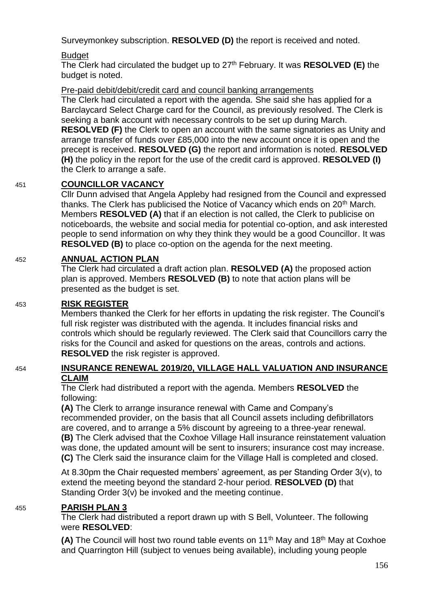Surveymonkey subscription. **RESOLVED (D)** the report is received and noted.

# Budget

The Clerk had circulated the budget up to 27<sup>th</sup> February. It was RESOLVED (E) the budget is noted.

# Pre-paid debit/debit/credit card and council banking arrangements

The Clerk had circulated a report with the agenda. She said she has applied for a Barclaycard Select Charge card for the Council, as previously resolved. The Clerk is seeking a bank account with necessary controls to be set up during March. **RESOLVED (F)** the Clerk to open an account with the same signatories as Unity and arrange transfer of funds over £85,000 into the new account once it is open and the precept is received. **RESOLVED (G)** the report and information is noted. **RESOLVED (H)** the policy in the report for the use of the credit card is approved. **RESOLVED (I)** the Clerk to arrange a safe.

# 451 **COUNCILLOR VACANCY**

Cllr Dunn advised that Angela Appleby had resigned from the Council and expressed thanks. The Clerk has publicised the Notice of Vacancy which ends on 20<sup>th</sup> March. Members **RESOLVED (A)** that if an election is not called, the Clerk to publicise on noticeboards, the website and social media for potential co-option, and ask interested people to send information on why they think they would be a good Councillor. It was **RESOLVED (B)** to place co-option on the agenda for the next meeting.

# 452 **ANNUAL ACTION PLAN**

The Clerk had circulated a draft action plan. **RESOLVED (A)** the proposed action plan is approved. Members **RESOLVED (B)** to note that action plans will be presented as the budget is set.

# 453 **RISK REGISTER**

Members thanked the Clerk for her efforts in updating the risk register. The Council's full risk register was distributed with the agenda. It includes financial risks and controls which should be regularly reviewed. The Clerk said that Councillors carry the risks for the Council and asked for questions on the areas, controls and actions. **RESOLVED** the risk register is approved.

# 454 **INSURANCE RENEWAL 2019/20, VILLAGE HALL VALUATION AND INSURANCE CLAIM**

The Clerk had distributed a report with the agenda. Members **RESOLVED** the following:

**(A)** The Clerk to arrange insurance renewal with Came and Company's recommended provider, on the basis that all Council assets including defibrillators are covered, and to arrange a 5% discount by agreeing to a three-year renewal. **(B)** The Clerk advised that the Coxhoe Village Hall insurance reinstatement valuation was done, the updated amount will be sent to insurers; insurance cost may increase. **(C)** The Clerk said the insurance claim for the Village Hall is completed and closed.

At 8.30pm the Chair requested members' agreement, as per Standing Order 3(v), to extend the meeting beyond the standard 2-hour period. **RESOLVED (D)** that Standing Order 3(v) be invoked and the meeting continue.

# 455 **PARISH PLAN 3**

The Clerk had distributed a report drawn up with S Bell, Volunteer. The following were **RESOLVED**:

**(A)** The Council will host two round table events on 11<sup>th</sup> May and 18<sup>th</sup> May at Coxhoe and Quarrington Hill (subject to venues being available), including young people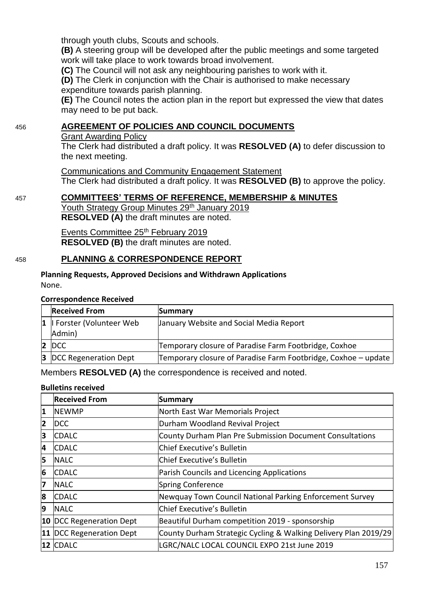through youth clubs, Scouts and schools.

**(B)** A steering group will be developed after the public meetings and some targeted work will take place to work towards broad involvement.

**(C)** The Council will not ask any neighbouring parishes to work with it.

**(D)** The Clerk in conjunction with the Chair is authorised to make necessary expenditure towards parish planning.

**(E)** The Council notes the action plan in the report but expressed the view that dates may need to be put back.

# 456 **AGREEMENT OF POLICIES AND COUNCIL DOCUMENTS**

Grant Awarding Policy

The Clerk had distributed a draft policy. It was **RESOLVED (A)** to defer discussion to the next meeting.

Communications and Community Engagement Statement The Clerk had distributed a draft policy. It was **RESOLVED (B)** to approve the policy.

#### 457 **COMMITTEES' TERMS OF REFERENCE, MEMBERSHIP & MINUTES**

Youth Strategy Group Minutes 29<sup>th</sup> January 2019 **RESOLVED (A)** the draft minutes are noted.

Events Committee 25<sup>th</sup> February 2019 **RESOLVED (B)** the draft minutes are noted.

## 458 **PLANNING & CORRESPONDENCE REPORT**

# **Planning Requests, Approved Decisions and Withdrawn Applications**

None.

#### **Correspondence Received**

| <b>Received From</b>           | Summary                                                        |
|--------------------------------|----------------------------------------------------------------|
| 1   Forster (Volunteer Web     | January Website and Social Media Report                        |
| Admin)                         |                                                                |
| 2 DCC                          | Temporary closure of Paradise Farm Footbridge, Coxhoe          |
| <b>3</b> DCC Regeneration Dept | Temporary closure of Paradise Farm Footbridge, Coxhoe - update |

Members **RESOLVED (A)** the correspondence is received and noted.

#### **Bulletins received**

|   | <b>Received From</b>      | Summary                                                         |
|---|---------------------------|-----------------------------------------------------------------|
| 1 | <b>NEWMP</b>              | North East War Memorials Project                                |
| 2 | <b>DCC</b>                | Durham Woodland Revival Project                                 |
| 3 | <b>CDALC</b>              | County Durham Plan Pre Submission Document Consultations        |
| 4 | <b>CDALC</b>              | Chief Executive's Bulletin                                      |
| 5 | <b>NALC</b>               | Chief Executive's Bulletin                                      |
| 6 | <b>CDALC</b>              | Parish Councils and Licencing Applications                      |
| 7 | <b>NALC</b>               | Spring Conference                                               |
| 8 | <b>CDALC</b>              | Newquay Town Council National Parking Enforcement Survey        |
| 9 | <b>NALC</b>               | Chief Executive's Bulletin                                      |
|   | 10 DCC Regeneration Dept  | Beautiful Durham competition 2019 - sponsorship                 |
|   | 11  DCC Regeneration Dept | County Durham Strategic Cycling & Walking Delivery Plan 2019/29 |
|   | 12 CDALC                  | LGRC/NALC LOCAL COUNCIL EXPO 21st June 2019                     |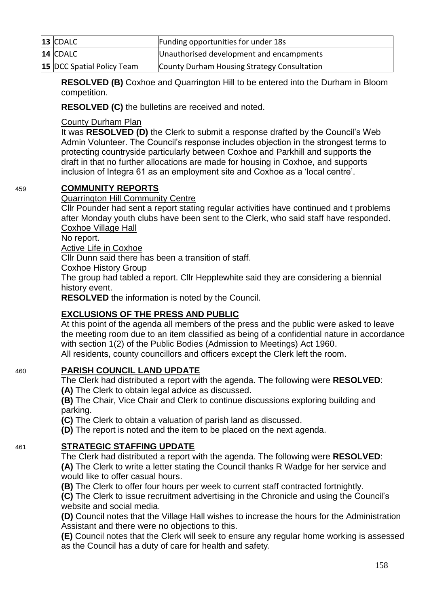| $13$ CDALC                        | Funding opportunities for under 18s         |
|-----------------------------------|---------------------------------------------|
| 14 CDALC                          | Unauthorised development and encampments    |
| <b>15 DCC Spatial Policy Team</b> | County Durham Housing Strategy Consultation |

**RESOLVED (B)** Coxhoe and Quarrington Hill to be entered into the Durham in Bloom competition.

**RESOLVED (C)** the bulletins are received and noted.

# County Durham Plan

It was **RESOLVED (D)** the Clerk to submit a response drafted by the Council's Web Admin Volunteer. The Council's response includes objection in the strongest terms to protecting countryside particularly between Coxhoe and Parkhill and supports the draft in that no further allocations are made for housing in Coxhoe, and supports inclusion of Integra 61 as an employment site and Coxhoe as a 'local centre'.

# 459 **COMMUNITY REPORTS**

## Quarrington Hill Community Centre

Cllr Pounder had sent a report stating regular activities have continued and t problems after Monday youth clubs have been sent to the Clerk, who said staff have responded. Coxhoe Village Hall

No report.

Active Life in Coxhoe

Cllr Dunn said there has been a transition of staff.

Coxhoe History Group

The group had tabled a report. Cllr Hepplewhite said they are considering a biennial history event.

**RESOLVED** the information is noted by the Council.

# **EXCLUSIONS OF THE PRESS AND PUBLIC**

At this point of the agenda all members of the press and the public were asked to leave the meeting room due to an item classified as being of a confidential nature in accordance with section 1(2) of the Public Bodies (Admission to Meetings) Act 1960. All residents, county councillors and officers except the Clerk left the room.

# 460 **PARISH COUNCIL LAND UPDATE**

The Clerk had distributed a report with the agenda. The following were **RESOLVED**: **(A)** The Clerk to obtain legal advice as discussed.

**(B)** The Chair, Vice Chair and Clerk to continue discussions exploring building and parking.

**(C)** The Clerk to obtain a valuation of parish land as discussed.

**(D)** The report is noted and the item to be placed on the next agenda.

# 461 **STRATEGIC STAFFING UPDATE**

The Clerk had distributed a report with the agenda. The following were **RESOLVED**: **(A)** The Clerk to write a letter stating the Council thanks R Wadge for her service and would like to offer casual hours.

**(B)** The Clerk to offer four hours per week to current staff contracted fortnightly.

**(C)** The Clerk to issue recruitment advertising in the Chronicle and using the Council's website and social media.

**(D)** Council notes that the Village Hall wishes to increase the hours for the Administration Assistant and there were no objections to this.

**(E)** Council notes that the Clerk will seek to ensure any regular home working is assessed as the Council has a duty of care for health and safety.